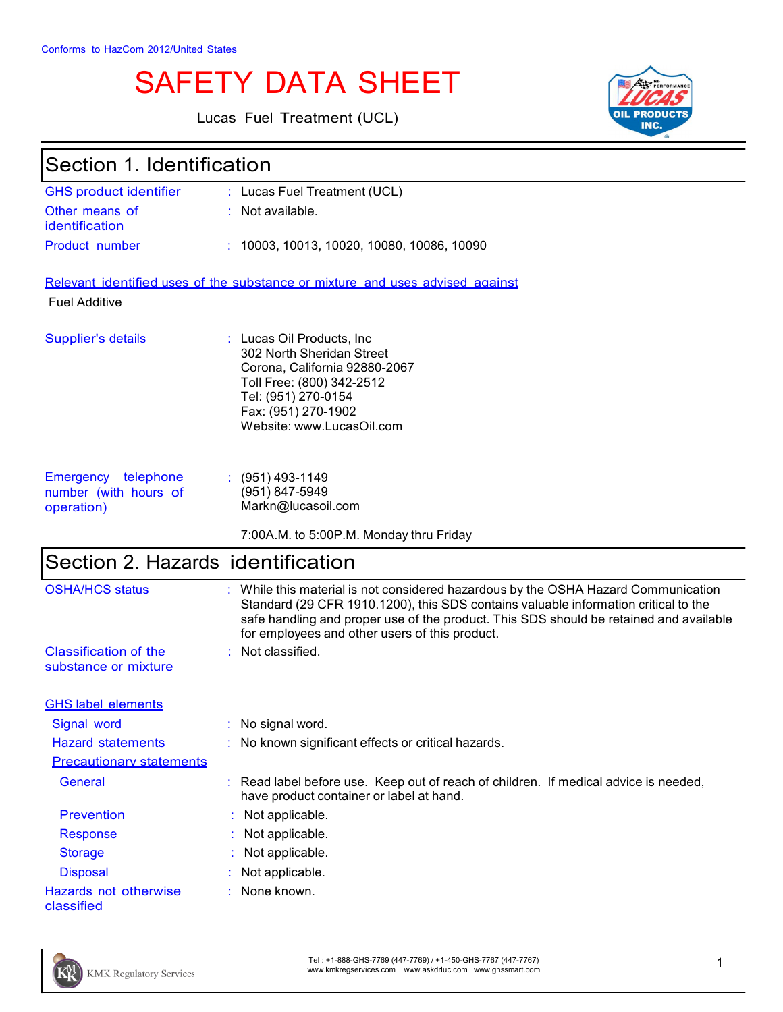# SAFETY DATA SHEET

Lucas Fuel Treatment (UCL)



| Section 1. Identification                                  |                                                                                                                                                                                                                                                                                                                     |  |
|------------------------------------------------------------|---------------------------------------------------------------------------------------------------------------------------------------------------------------------------------------------------------------------------------------------------------------------------------------------------------------------|--|
| <b>GHS product identifier</b>                              | : Lucas Fuel Treatment (UCL)                                                                                                                                                                                                                                                                                        |  |
| Other means of<br>identification                           | Not available.                                                                                                                                                                                                                                                                                                      |  |
| Product number                                             | 10003, 10013, 10020, 10080, 10086, 10090                                                                                                                                                                                                                                                                            |  |
|                                                            | Relevant identified uses of the substance or mixture and uses advised against                                                                                                                                                                                                                                       |  |
| <b>Fuel Additive</b>                                       |                                                                                                                                                                                                                                                                                                                     |  |
| Supplier's details                                         | : Lucas Oil Products, Inc.<br>302 North Sheridan Street<br>Corona, California 92880-2067<br>Toll Free: (800) 342-2512<br>Tel: (951) 270-0154<br>Fax: (951) 270-1902<br>Website: www.LucasOil.com                                                                                                                    |  |
| Emergency telephone<br>number (with hours of<br>operation) | $(951)$ 493-1149<br>(951) 847-5949<br>Markn@lucasoil.com                                                                                                                                                                                                                                                            |  |
|                                                            | 7:00A.M. to 5:00P.M. Monday thru Friday                                                                                                                                                                                                                                                                             |  |
| Section 2. Hazards identification                          |                                                                                                                                                                                                                                                                                                                     |  |
| <b>OSHA/HCS status</b>                                     | While this material is not considered hazardous by the OSHA Hazard Communication<br>Standard (29 CFR 1910.1200), this SDS contains valuable information critical to the<br>safe handling and proper use of the product. This SDS should be retained and available<br>for employees and other users of this product. |  |
| <b>Classification of the</b><br>substance or mixture       | : Not classified.                                                                                                                                                                                                                                                                                                   |  |
| <b>GHS label elements</b>                                  |                                                                                                                                                                                                                                                                                                                     |  |
| Signal word                                                | No signal word.                                                                                                                                                                                                                                                                                                     |  |
| <b>Hazard statements</b>                                   | No known significant effects or critical hazards.                                                                                                                                                                                                                                                                   |  |
| <b>Precautionary statements</b>                            |                                                                                                                                                                                                                                                                                                                     |  |
| General                                                    | Read label before use. Keep out of reach of children. If medical advice is needed,<br>have product container or label at hand.                                                                                                                                                                                      |  |
| <b>Prevention</b>                                          | Not applicable.                                                                                                                                                                                                                                                                                                     |  |
| <b>Response</b>                                            | Not applicable.                                                                                                                                                                                                                                                                                                     |  |
| <b>Storage</b>                                             | Not applicable.                                                                                                                                                                                                                                                                                                     |  |
| <b>Disposal</b>                                            | Not applicable.                                                                                                                                                                                                                                                                                                     |  |
| Hazards not otherwise<br>classified                        | None known.                                                                                                                                                                                                                                                                                                         |  |



Tel : +1-888-GHS-7769 (447-7769) / +1-450-GHS-7767 (447-7767) Tel: +1-888-GHS-7769 (447-7769) / +1-450-GHS-7767 (447-7767)<br>www.kmkregservices.com www.askdrluc.com www.ghssmart.com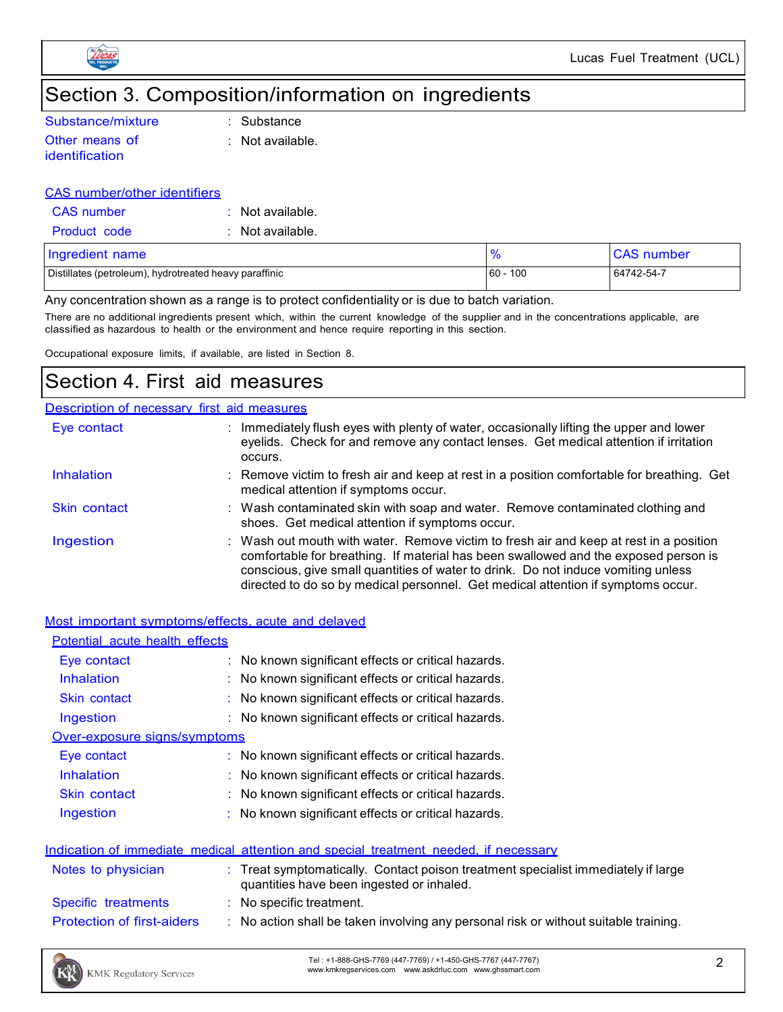

## Section 3. Composition/information on ingredients

| Substance/mixture |
|-------------------|
| Other means of    |

identification

e : Substance

: Not available.

#### CAS number/other identifiers

| CAS number          | $\therefore$ Not available. |
|---------------------|-----------------------------|
| <b>Product code</b> | $\therefore$ Not available. |

| Ingredient name                                        | $\frac{9}{6}$ | <b>CAS</b> number |
|--------------------------------------------------------|---------------|-------------------|
| Distillates (petroleum), hydrotreated heavy paraffinic | 60<br>100     | 64742-54-7        |

Any concentration shown as a range is to protect confidentiality or is due to batch variation.

There are no additional ingredients present which, within the current knowledge of the supplier and in the concentrations applicable, are classified as hazardous to health or the environment and hence require reporting in this section.

Occupational exposure limits, if available, are listed in Section 8.

### Section 4. First aid measures

| Description of necessary first aid measures |                                                                                                                                                                                                                                                                                                                                                        |  |
|---------------------------------------------|--------------------------------------------------------------------------------------------------------------------------------------------------------------------------------------------------------------------------------------------------------------------------------------------------------------------------------------------------------|--|
| Eye contact                                 | : Immediately flush eyes with plenty of water, occasionally lifting the upper and lower<br>eyelids. Check for and remove any contact lenses. Get medical attention if irritation<br>occurs.                                                                                                                                                            |  |
| Inhalation                                  | : Remove victim to fresh air and keep at rest in a position comfortable for breathing. Get<br>medical attention if symptoms occur.                                                                                                                                                                                                                     |  |
| Skin contact                                | : Wash contaminated skin with soap and water. Remove contaminated clothing and<br>shoes. Get medical attention if symptoms occur.                                                                                                                                                                                                                      |  |
| Ingestion                                   | : Wash out mouth with water. Remove victim to fresh air and keep at rest in a position<br>comfortable for breathing. If material has been swallowed and the exposed person is<br>conscious, give small quantities of water to drink. Do not induce vomiting unless<br>directed to do so by medical personnel. Get medical attention if symptoms occur. |  |

#### Most important symptoms/effects, acute and delayed

| Potential acute health effects    |                                                                                                                                |
|-----------------------------------|--------------------------------------------------------------------------------------------------------------------------------|
| Eye contact                       | $\therefore$ No known significant effects or critical hazards.                                                                 |
| Inhalation                        | $\therefore$ No known significant effects or critical hazards.                                                                 |
| Skin contact                      | : No known significant effects or critical hazards.                                                                            |
| Ingestion                         | : No known significant effects or critical hazards.                                                                            |
| Over-exposure signs/symptoms      |                                                                                                                                |
| Eye contact                       | $\therefore$ No known significant effects or critical hazards.                                                                 |
| <b>Inhalation</b>                 | $\therefore$ No known significant effects or critical hazards.                                                                 |
| <b>Skin contact</b>               | : No known significant effects or critical hazards.                                                                            |
| Ingestion                         | : No known significant effects or critical hazards.                                                                            |
|                                   |                                                                                                                                |
|                                   | Indication of immediate medical attention and special treatment needed, if necessary                                           |
| Notes to physician                | : Treat symptomatically. Contact poison treatment specialist immediately if large<br>quantities have been ingested or inhaled. |
| Specific treatments               | : No specific treatment.                                                                                                       |
| <b>Protection of first-aiders</b> | : No action shall be taken involving any personal risk or without suitable training.                                           |

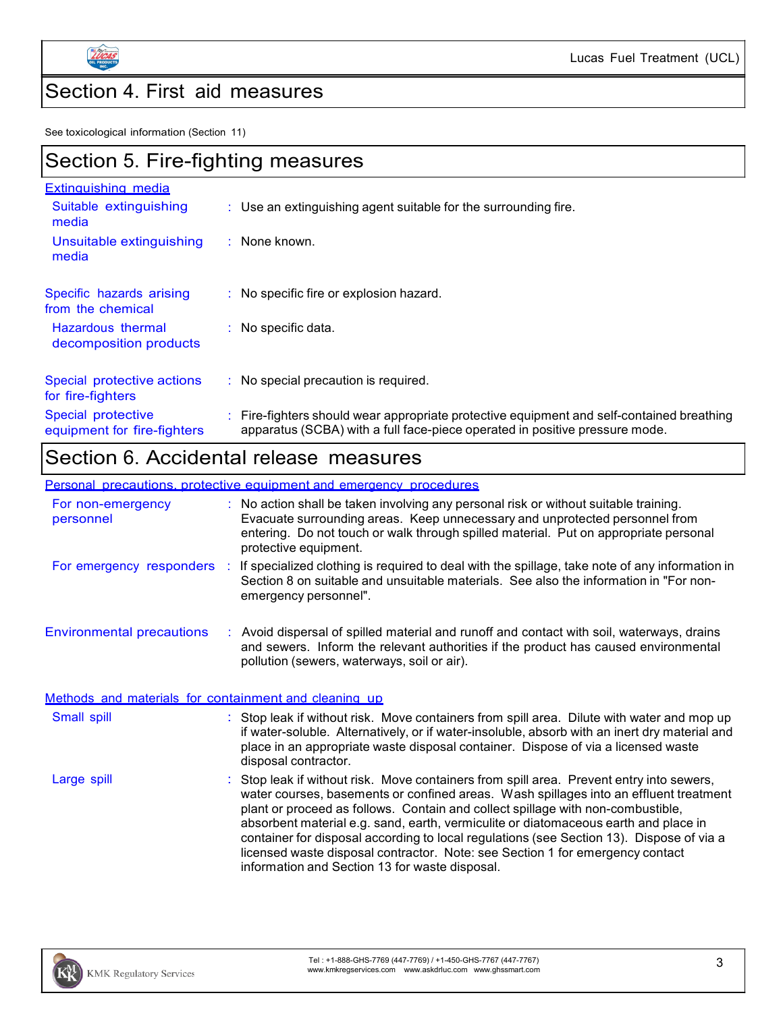

 $\mathsf{r}$ 

# Section 4. First aid measures

See toxicological information (Section 11)

| Section 5. Fire-fighting measures                 |                                                                                                                                                                          |  |  |
|---------------------------------------------------|--------------------------------------------------------------------------------------------------------------------------------------------------------------------------|--|--|
| <b>Extinguishing media</b>                        |                                                                                                                                                                          |  |  |
| Suitable extinguishing<br>media                   | $\therefore$ Use an extinguishing agent suitable for the surrounding fire.                                                                                               |  |  |
| Unsuitable extinguishing<br>media                 | $\therefore$ None known.                                                                                                                                                 |  |  |
| Specific hazards arising<br>from the chemical     | $\therefore$ No specific fire or explosion hazard.                                                                                                                       |  |  |
| Hazardous thermal<br>decomposition products       | $:$ No specific data.                                                                                                                                                    |  |  |
| Special protective actions<br>for fire-fighters   | $\therefore$ No special precaution is required.                                                                                                                          |  |  |
| Special protective<br>equipment for fire-fighters | : Fire-fighters should wear appropriate protective equipment and self-contained breathing<br>apparatus (SCBA) with a full face-piece operated in positive pressure mode. |  |  |

### Section 6. Accidental release measures

### Personal precautions, protective equipment and emergency procedures

|                                                       |  | <u>roonal proceduono, protocuvo ougibinom anu cinciuonov proceduroe</u>                                                                                                                                                                                                                                                                                                                                                                                                                                                                                                                    |  |
|-------------------------------------------------------|--|--------------------------------------------------------------------------------------------------------------------------------------------------------------------------------------------------------------------------------------------------------------------------------------------------------------------------------------------------------------------------------------------------------------------------------------------------------------------------------------------------------------------------------------------------------------------------------------------|--|
| For non-emergency<br>personnel                        |  | : No action shall be taken involving any personal risk or without suitable training.<br>Evacuate surrounding areas. Keep unnecessary and unprotected personnel from<br>entering. Do not touch or walk through spilled material. Put on appropriate personal<br>protective equipment.                                                                                                                                                                                                                                                                                                       |  |
|                                                       |  | For emergency responders : If specialized clothing is required to deal with the spillage, take note of any information in<br>Section 8 on suitable and unsuitable materials. See also the information in "For non-<br>emergency personnel".                                                                                                                                                                                                                                                                                                                                                |  |
| <b>Environmental precautions</b>                      |  | : Avoid dispersal of spilled material and runoff and contact with soil, waterways, drains<br>and sewers. Inform the relevant authorities if the product has caused environmental<br>pollution (sewers, waterways, soil or air).                                                                                                                                                                                                                                                                                                                                                            |  |
| Methods and materials for containment and cleaning up |  |                                                                                                                                                                                                                                                                                                                                                                                                                                                                                                                                                                                            |  |
| Small spill                                           |  | : Stop leak if without risk. Move containers from spill area. Dilute with water and mop up<br>if water-soluble. Alternatively, or if water-insoluble, absorb with an inert dry material and<br>place in an appropriate waste disposal container. Dispose of via a licensed waste<br>disposal contractor.                                                                                                                                                                                                                                                                                   |  |
| Large spill                                           |  | : Stop leak if without risk. Move containers from spill area. Prevent entry into sewers,<br>water courses, basements or confined areas. Wash spillages into an effluent treatment<br>plant or proceed as follows. Contain and collect spillage with non-combustible,<br>absorbent material e.g. sand, earth, vermiculite or diatomaceous earth and place in<br>container for disposal according to local regulations (see Section 13). Dispose of via a<br>licensed waste disposal contractor. Note: see Section 1 for emergency contact<br>information and Section 13 for waste disposal. |  |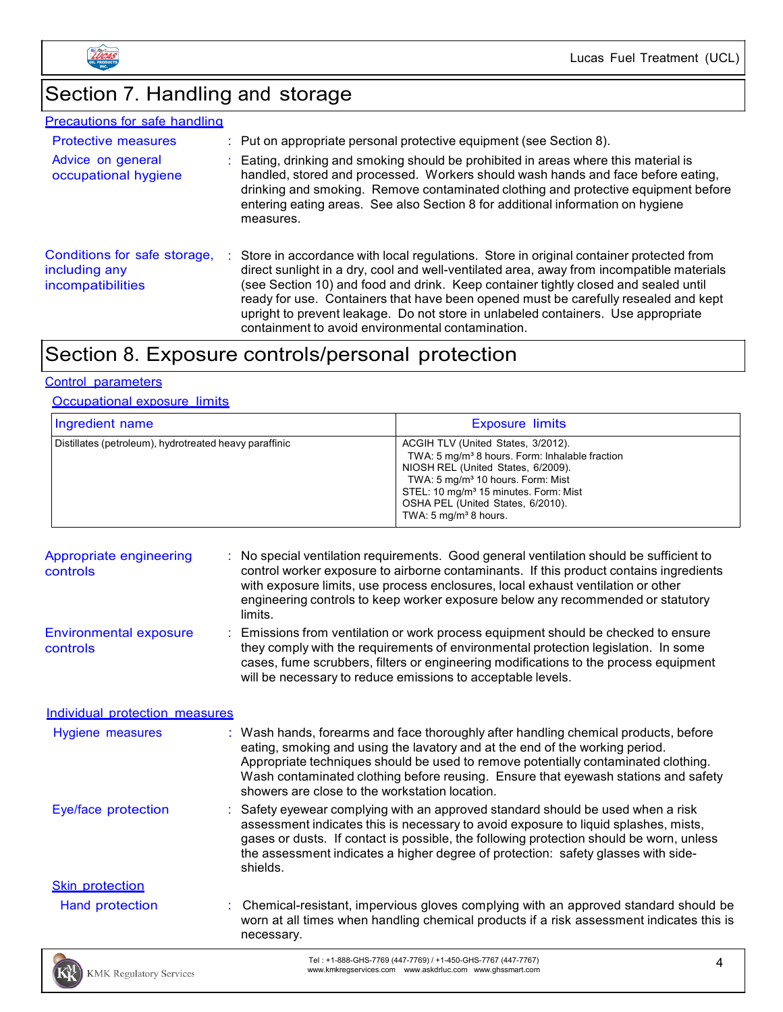

Lucas Fuel Treatment (UCL)

# Section 7. Handling and storage

| <b>Precautions for safe handling</b>                               |   |                                                                                                                                                                                                                                                                                                                                                                                                                                                                                                             |
|--------------------------------------------------------------------|---|-------------------------------------------------------------------------------------------------------------------------------------------------------------------------------------------------------------------------------------------------------------------------------------------------------------------------------------------------------------------------------------------------------------------------------------------------------------------------------------------------------------|
| <b>Protective measures</b>                                         |   | $\therefore$ Put on appropriate personal protective equipment (see Section 8).                                                                                                                                                                                                                                                                                                                                                                                                                              |
| Advice on general<br>occupational hygiene                          |   | Eating, drinking and smoking should be prohibited in areas where this material is<br>handled, stored and processed. Workers should wash hands and face before eating,<br>drinking and smoking. Remove contaminated clothing and protective equipment before<br>entering eating areas. See also Section 8 for additional information on hygiene<br>measures.                                                                                                                                                 |
| Conditions for safe storage,<br>including any<br>incompatibilities | ÷ | Store in accordance with local regulations. Store in original container protected from<br>direct sunlight in a dry, cool and well-ventilated area, away from incompatible materials<br>(see Section 10) and food and drink. Keep container tightly closed and sealed until<br>ready for use. Containers that have been opened must be carefully resealed and kept<br>upright to prevent leakage. Do not store in unlabeled containers. Use appropriate<br>containment to avoid environmental contamination. |

## Section 8. Exposure controls/personal protection

### Control parameters

### Occupational exposure limits

| Ingredient name                                        | <b>Exposure limits</b>                                                                                                                                                                                                                                                                                                |
|--------------------------------------------------------|-----------------------------------------------------------------------------------------------------------------------------------------------------------------------------------------------------------------------------------------------------------------------------------------------------------------------|
| Distillates (petroleum), hydrotreated heavy paraffinic | ACGIH TLV (United States, 3/2012).<br>TWA: 5 mg/m <sup>3</sup> 8 hours. Form: Inhalable fraction<br>NIOSH REL (United States, 6/2009).<br>TWA: 5 mg/m <sup>3</sup> 10 hours. Form: Mist<br>STEL: 10 mg/m <sup>3</sup> 15 minutes. Form: Mist<br>OSHA PEL (United States, 6/2010).<br>TWA: $5 \text{ mg/m}^3$ 8 hours. |

| Appropriate engineering<br>controls       | No special ventilation requirements. Good general ventilation should be sufficient to<br>control worker exposure to airborne contaminants. If this product contains ingredients<br>with exposure limits, use process enclosures, local exhaust ventilation or other<br>engineering controls to keep worker exposure below any recommended or statutory<br>limits.                                 |
|-------------------------------------------|---------------------------------------------------------------------------------------------------------------------------------------------------------------------------------------------------------------------------------------------------------------------------------------------------------------------------------------------------------------------------------------------------|
| <b>Environmental exposure</b><br>controls | : Emissions from ventilation or work process equipment should be checked to ensure<br>they comply with the requirements of environmental protection legislation. In some<br>cases, fume scrubbers, filters or engineering modifications to the process equipment<br>will be necessary to reduce emissions to acceptable levels.                                                                   |
| Individual protection measures            |                                                                                                                                                                                                                                                                                                                                                                                                   |
| Hygiene measures                          | : Wash hands, forearms and face thoroughly after handling chemical products, before<br>eating, smoking and using the lavatory and at the end of the working period.<br>Appropriate techniques should be used to remove potentially contaminated clothing.<br>Wash contaminated clothing before reusing. Ensure that eyewash stations and safety<br>showers are close to the workstation location. |
| Eye/face protection                       | Safety eyewear complying with an approved standard should be used when a risk<br>assessment indicates this is necessary to avoid exposure to liquid splashes, mists,<br>gases or dusts. If contact is possible, the following protection should be worn, unless<br>the assessment indicates a higher degree of protection: safety glasses with side-<br>shields.                                  |
| <b>Skin protection</b>                    |                                                                                                                                                                                                                                                                                                                                                                                                   |
| Hand protection                           | Chemical-resistant, impervious gloves complying with an approved standard should be<br>worn at all times when handling chemical products if a risk assessment indicates this is<br>necessary.                                                                                                                                                                                                     |
|                                           | Tel: +1-888-GHS-7769 (447-7769) / +1-450-GHS-7767 (447-7767)                                                                                                                                                                                                                                                                                                                                      |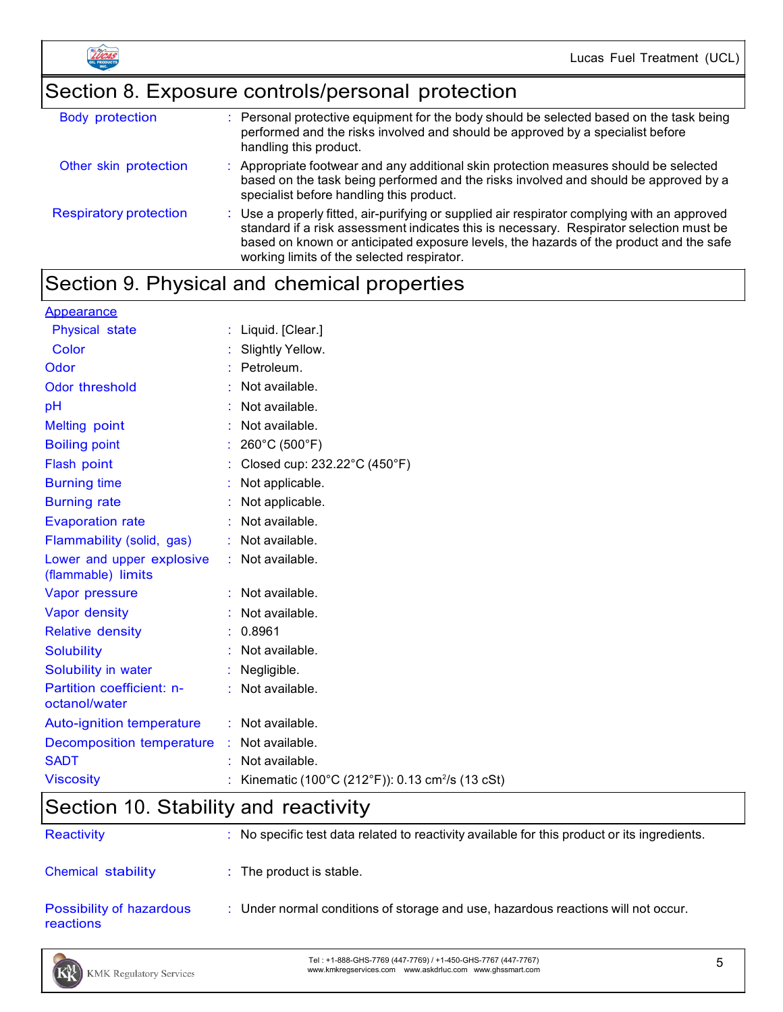

# Section 8. Exposure controls/personal protection

| <b>Body protection</b>        | : Personal protective equipment for the body should be selected based on the task being<br>performed and the risks involved and should be approved by a specialist before<br>handling this product.                                                                                                                             |
|-------------------------------|---------------------------------------------------------------------------------------------------------------------------------------------------------------------------------------------------------------------------------------------------------------------------------------------------------------------------------|
| Other skin protection         | : Appropriate footwear and any additional skin protection measures should be selected<br>based on the task being performed and the risks involved and should be approved by a<br>specialist before handling this product.                                                                                                       |
| <b>Respiratory protection</b> | : Use a properly fitted, air-purifying or supplied air respirator complying with an approved<br>standard if a risk assessment indicates this is necessary. Respirator selection must be<br>based on known or anticipated exposure levels, the hazards of the product and the safe<br>working limits of the selected respirator. |

# Section 9. Physical and chemical properties

| <b>Appearance</b>                               |                                                             |
|-------------------------------------------------|-------------------------------------------------------------|
| Physical state                                  | : Liquid. [Clear.]                                          |
| Color                                           | Slightly Yellow.                                            |
| Odor                                            | : Petroleum.                                                |
| Odor threshold                                  | : Not available.                                            |
| pH                                              | : Not available.                                            |
| <b>Melting point</b>                            | Not available.                                              |
| <b>Boiling point</b>                            | : 260°C (500°F)                                             |
| Flash point                                     | Closed cup: 232.22°C (450°F)                                |
| <b>Burning time</b>                             | Not applicable.                                             |
| <b>Burning rate</b>                             | Not applicable.                                             |
| <b>Evaporation rate</b>                         | : Not available.                                            |
| Flammability (solid, gas)                       | : Not available.                                            |
| Lower and upper explosive<br>(flammable) limits | : Not available.                                            |
| Vapor pressure                                  | : Not available.                                            |
| Vapor density                                   | : Not available.                                            |
| <b>Relative density</b>                         | : 0.8961                                                    |
| <b>Solubility</b>                               | : Not available.                                            |
| Solubility in water                             | : Negligible.                                               |
| Partition coefficient: n-<br>octanol/water      | : Not available.                                            |
| <b>Auto-ignition temperature</b>                | : Not available.                                            |
| Decomposition temperature : Not available.      |                                                             |
| <b>SADT</b>                                     | Not available.                                              |
| <b>Viscosity</b>                                | Kinematic (100°C (212°F)): 0.13 cm <sup>2</sup> /s (13 cSt) |

# Section 10. Stability and reactivity

| <b>Reactivity</b>                     | $\therefore$ No specific test data related to reactivity available for this product or its ingredients. |
|---------------------------------------|---------------------------------------------------------------------------------------------------------|
| Chemical stability                    | $\therefore$ The product is stable.                                                                     |
| Possibility of hazardous<br>reactions | : Under normal conditions of storage and use, hazardous reactions will not occur.                       |

Tel : +1-888-GHS-7769 (447-7769) / +1-450-GHS-7767 (447-7767) Tel : +1-888-GHS-7769 (447-7769) / +1-450-GHS-7767 (447-7767)<br>www.kmkregservices.com www.askdrluc.com www.ghssmart.com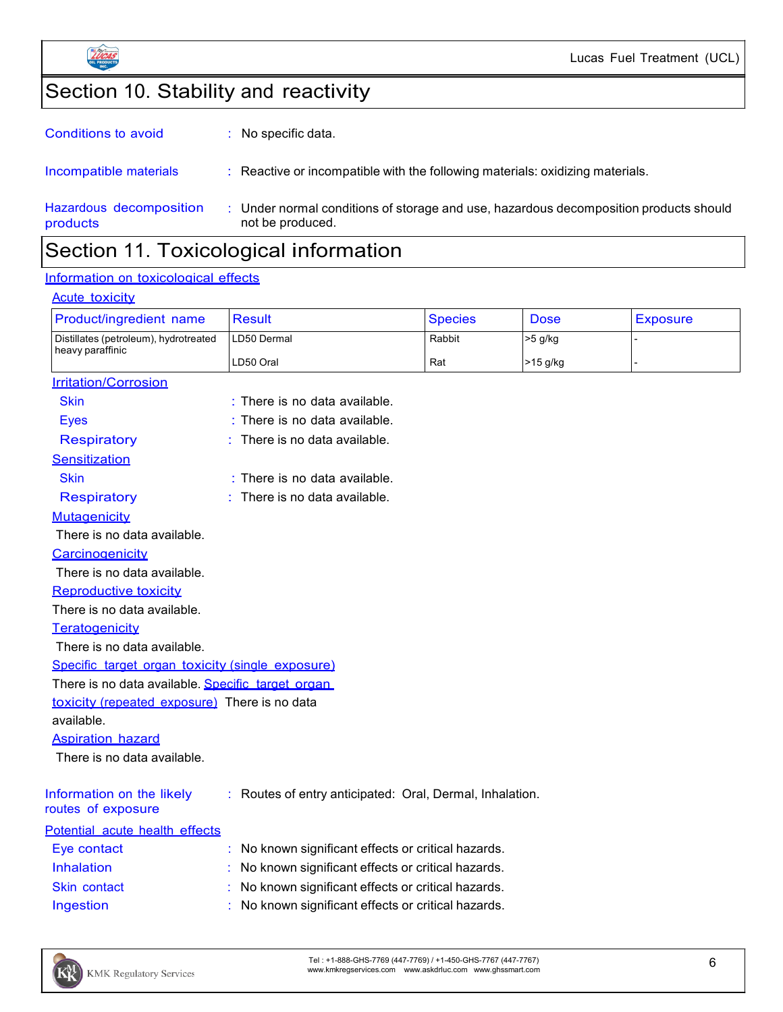

# Section 10. Stability and reactivity

|                                     | .                                                                                                       |
|-------------------------------------|---------------------------------------------------------------------------------------------------------|
| Hazardous decomposition<br>products | Under normal conditions of storage and use, hazardous decomposition products should<br>not be produced. |
| Incompatible materials              | : Reactive or incompatible with the following materials: oxidizing materials.                           |
| Conditions to avoid                 | : No specific data.                                                                                     |

### Section 11. Toxicological information

### Information on toxicological effects

#### **Acute toxicity**

| Product/ingredient name                           | <b>Result</b>                                            | <b>Species</b> | Dose     | <b>Exposure</b> |
|---------------------------------------------------|----------------------------------------------------------|----------------|----------|-----------------|
| Distillates (petroleum), hydrotreated             | LD50 Dermal                                              | Rabbit         | >5 g/kg  |                 |
| heavy paraffinic                                  | LD50 Oral                                                | Rat            | >15 g/kg |                 |
| <b>Irritation/Corrosion</b>                       |                                                          |                |          |                 |
| <b>Skin</b>                                       | : There is no data available.                            |                |          |                 |
| <b>Eyes</b>                                       | : There is no data available.                            |                |          |                 |
| <b>Respiratory</b>                                | There is no data available.                              |                |          |                 |
| Sensitization                                     |                                                          |                |          |                 |
| <b>Skin</b>                                       | : There is no data available.                            |                |          |                 |
| <b>Respiratory</b>                                | There is no data available.                              |                |          |                 |
| <b>Mutagenicity</b>                               |                                                          |                |          |                 |
| There is no data available.                       |                                                          |                |          |                 |
| Carcinogenicity                                   |                                                          |                |          |                 |
| There is no data available.                       |                                                          |                |          |                 |
| <b>Reproductive toxicity</b>                      |                                                          |                |          |                 |
| There is no data available.                       |                                                          |                |          |                 |
| Teratogenicity                                    |                                                          |                |          |                 |
| There is no data available.                       |                                                          |                |          |                 |
| Specific target organ toxicity (single exposure)  |                                                          |                |          |                 |
| There is no data available. Specific target organ |                                                          |                |          |                 |
| toxicity (repeated exposure) There is no data     |                                                          |                |          |                 |
| available.                                        |                                                          |                |          |                 |
| <b>Aspiration hazard</b>                          |                                                          |                |          |                 |
| There is no data available.                       |                                                          |                |          |                 |
|                                                   |                                                          |                |          |                 |
| Information on the likely<br>routes of exposure   | : Routes of entry anticipated: Oral, Dermal, Inhalation. |                |          |                 |
| Potential acute health effects                    |                                                          |                |          |                 |
| Eye contact                                       | No known significant effects or critical hazards.        |                |          |                 |
| Inhalation                                        | No known significant effects or critical hazards.        |                |          |                 |
| Skin contact                                      | No known significant effects or critical hazards.        |                |          |                 |
| Ingestion                                         | No known significant effects or critical hazards.        |                |          |                 |

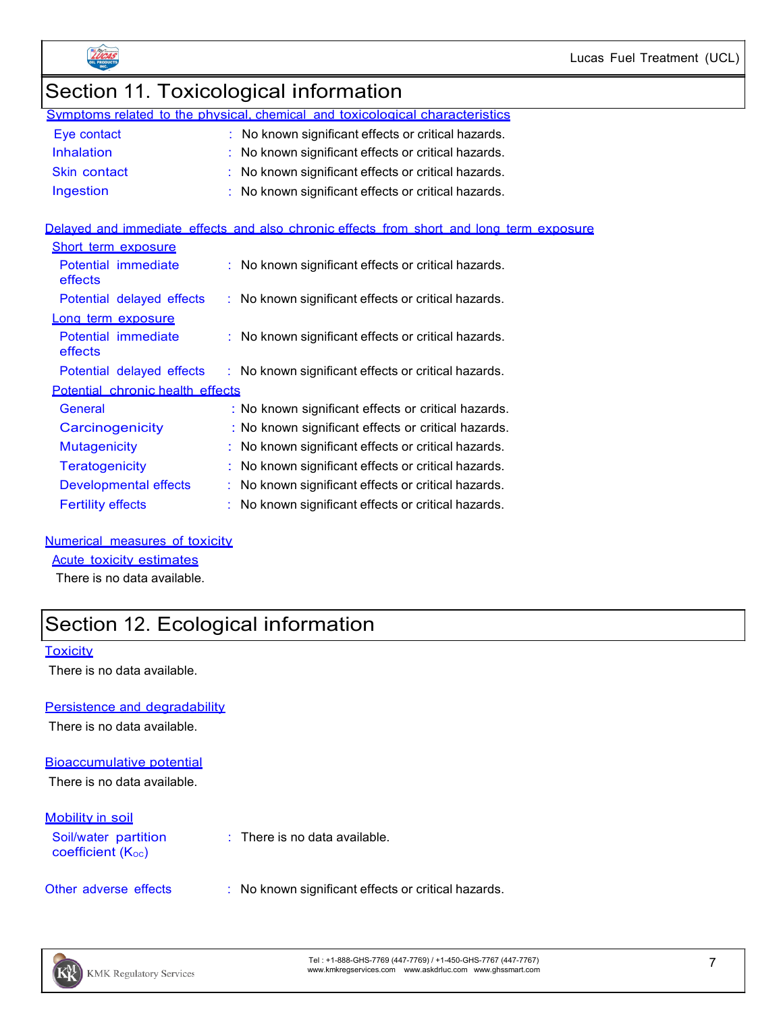



# Section 11. Toxicological information

|                   | Symptoms related to the physical, chemical and toxicological characteristics |
|-------------------|------------------------------------------------------------------------------|
| Eye contact       | : No known significant effects or critical hazards.                          |
| <b>Inhalation</b> | : No known significant effects or critical hazards.                          |
| Skin contact      | : No known significant effects or critical hazards.                          |
| Ingestion         | : No known significant effects or critical hazards.                          |

### Delayed and immediate effects and also chronic effects from short and long term exposure

| Short term exposure              |                                                     |  |  |
|----------------------------------|-----------------------------------------------------|--|--|
| Potential immediate<br>effects   | : No known significant effects or critical hazards. |  |  |
| Potential delayed effects        | : No known significant effects or critical hazards. |  |  |
| Long term exposure               |                                                     |  |  |
| Potential immediate<br>effects   | : No known significant effects or critical hazards. |  |  |
| Potential delayed effects        | : No known significant effects or critical hazards. |  |  |
| Potential chronic health effects |                                                     |  |  |
| General                          | : No known significant effects or critical hazards. |  |  |
| Carcinogenicity                  | : No known significant effects or critical hazards. |  |  |
| <b>Mutagenicity</b>              | : No known significant effects or critical hazards. |  |  |
| <b>Teratogenicity</b>            | No known significant effects or critical hazards.   |  |  |
| <b>Developmental effects</b>     | : No known significant effects or critical hazards. |  |  |
| <b>Fertility effects</b>         | : No known significant effects or critical hazards. |  |  |

### Numerical measures of toxicity

### Acute toxicity estimates

There is no data available.

### Section 12. Ecological information

#### **Toxicity**

There is no data available.

#### Persistence and degradability

There is no data available.

#### Bioaccumulative potential

There is no data available.

### Mobility in soil

Soil/water partition coefficient  $(K<sub>oc</sub>)$ 

: There is no data available.

Other adverse effects : No known significant effects or critical hazards.

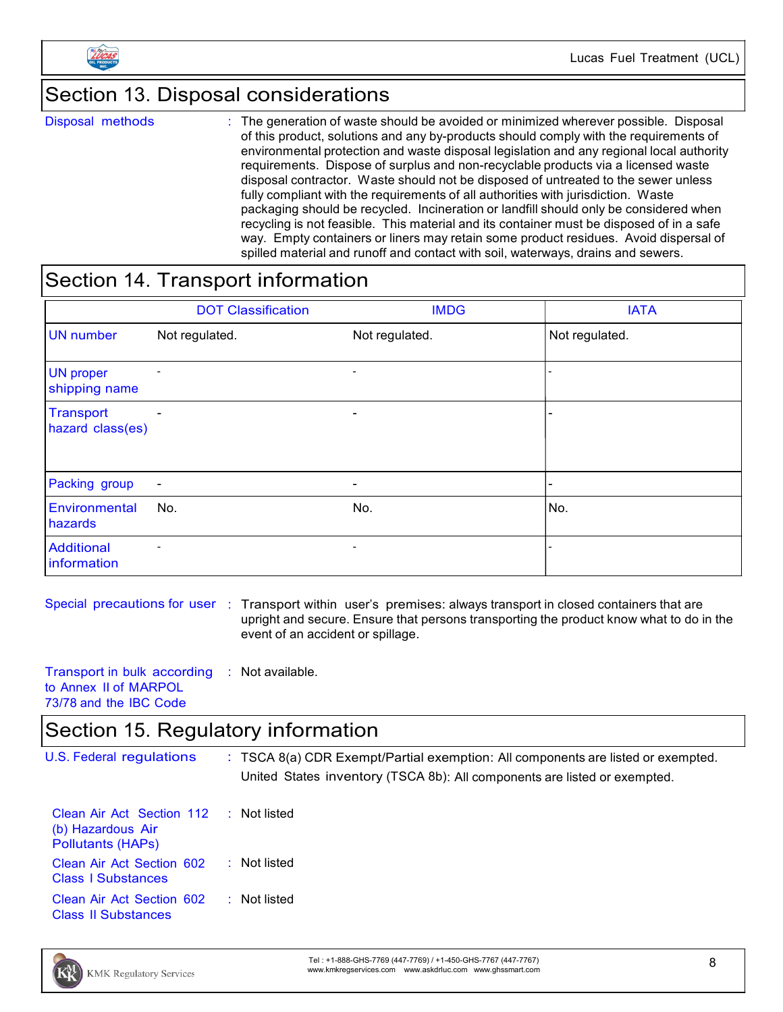

### Section 13. Disposal considerations

Disposal methods : The generation of waste should be avoided or minimized wherever possible. Disposal of this product, solutions and any by-products should comply with the requirements of environmental protection and waste disposal legislation and any regional local authority requirements. Dispose of surplus and non-recyclable products via a licensed waste disposal contractor. Waste should not be disposed of untreated to the sewer unless fully compliant with the requirements of all authorities with jurisdiction. Waste packaging should be recycled. Incineration or landfill should only be considered when recycling is not feasible. This material and its container must be disposed of in a safe way. Empty containers or liners may retain some product residues. Avoid dispersal of spilled material and runoff and contact with soil, waterways, drains and sewers.

### Section 14. Transport information

|                                   | <b>DOT Classification</b> | <b>IMDG</b>                  | <b>IATA</b>    |
|-----------------------------------|---------------------------|------------------------------|----------------|
| <b>UN</b> number                  | Not regulated.            | Not regulated.               | Not regulated. |
| <b>UN proper</b><br>shipping name |                           | $\overline{\phantom{0}}$     |                |
| Transport<br>hazard class(es)     | $\overline{\phantom{a}}$  | $\overline{\phantom{a}}$     |                |
| Packing group                     | $\overline{\phantom{a}}$  | $\qquad \qquad \blacksquare$ |                |
| Environmental<br>hazards          | No.                       | No.                          | No.            |
| <b>Additional</b><br>information  | $\overline{\phantom{a}}$  | $\overline{\phantom{a}}$     |                |

- Special precautions for user : Transport within user's premises: always transport in closed containers that are upright and secure. Ensure that persons transporting the product know what to do in the event of an accident or spillage.
- Transport in bulk according to Annex II of MARPOL 73/78 and the IBC Code : Not available.

### Section 15. Regulatory information

U.S. Federal regulations : TSCA 8(a) CDR Exempt/Partial exemption: All components are listed or exempted. United States inventory (TSCA 8b): All components are listed or exempted.

| Clean Air Act Section 112<br>(b) Hazardous Air<br><b>Pollutants (HAPs)</b> | $:$ Not listed |
|----------------------------------------------------------------------------|----------------|
| Clean Air Act Section 602<br><b>Class   Substances</b>                     | : Not listed   |
| Clean Air Act Section 602<br><b>Class II Substances</b>                    | : Not listed   |



Tel : +1-888-GHS-7769 (447-7769) / +1-450-GHS-7767 (447-7767) Tel: +1-888-GHS-7769 (447-7769) / +1-450-GHS-7767 (447-7767)<br>www.kmkregservices.com www.askdrluc.com www.ghssmart.com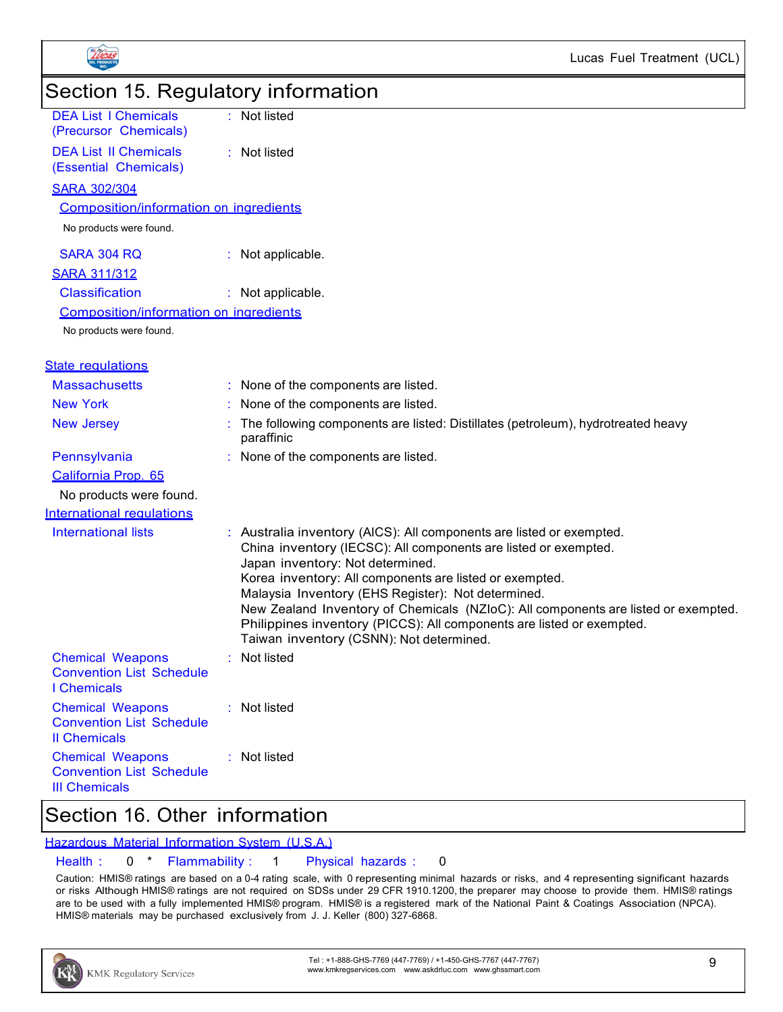

### Section 16. Other information

### Hazardous Material Information System (U.S.A.)

### Health : 0 \* Flammability : 1 Physical hazards : 0

Caution: HMIS® ratings are based on a 0-4 rating scale, with 0 representing minimal hazards or risks, and 4 representing significant hazards or risks Although HMIS® ratings are not required on SDSs under 29 CFR 1910.1200, the preparer may choose to provide them. HMIS® ratings are to be used with a fully implemented HMIS® program. HMIS® is a registered mark of the National Paint & Coatings Association (NPCA). HMIS® materials may be purchased exclusively from J. J. Keller (800) 327-6868.